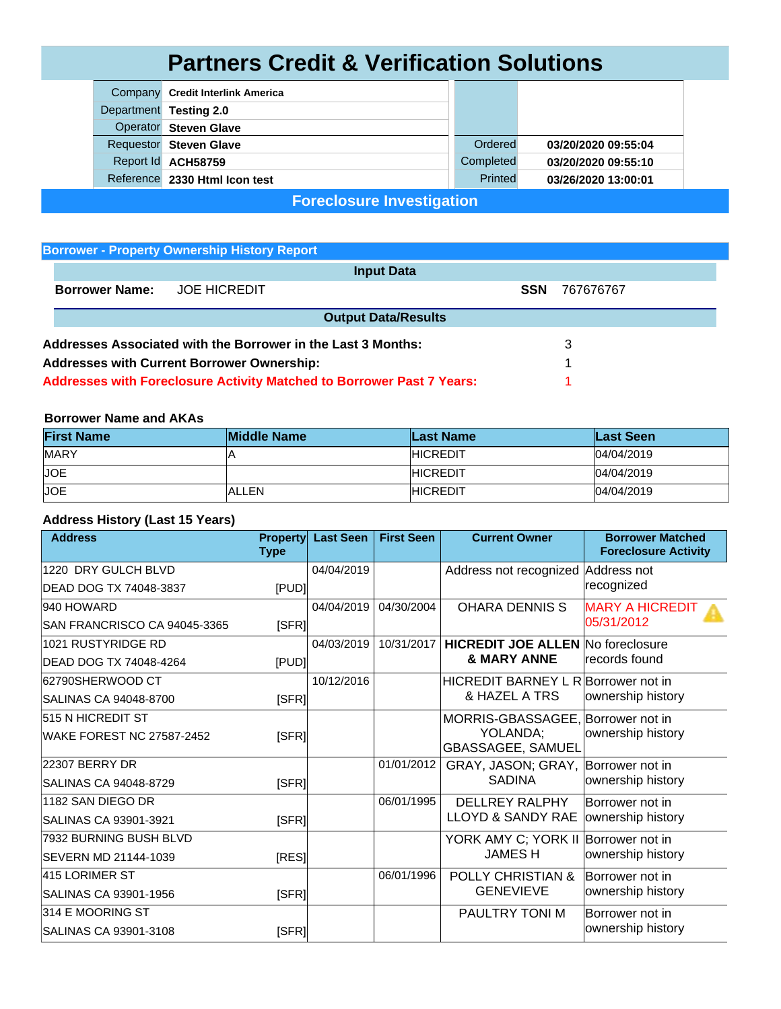## **Partners Credit & Verification Solutions**

| Company Credit Interlink America |           |                     |
|----------------------------------|-----------|---------------------|
| Department Testing 2.0           |           |                     |
| <b>Operator</b> Steven Glave     |           |                     |
| <b>Requestor</b> Steven Glave    | Ordered   | 03/20/2020 09:55:04 |
| Report Id ACH58759               | Completed | 03/20/2020 09:55:10 |
| Reference 2330 Html Icon test    | Printed   | 03/26/2020 13:00:01 |

**Foreclosure Investigation**

## **Borrower - Property Ownership History Report**

| <b>Input Data</b>                                                 |                                                                       |                            |            |           |  |  |  |
|-------------------------------------------------------------------|-----------------------------------------------------------------------|----------------------------|------------|-----------|--|--|--|
| <b>Borrower Name:</b>                                             | <b>JOE HICREDIT</b>                                                   |                            | <b>SSN</b> | 767676767 |  |  |  |
|                                                                   |                                                                       | <b>Output Data/Results</b> |            |           |  |  |  |
| Addresses Associated with the Borrower in the Last 3 Months:<br>3 |                                                                       |                            |            |           |  |  |  |
|                                                                   | <b>Addresses with Current Borrower Ownership:</b>                     |                            |            |           |  |  |  |
|                                                                   | Addresses with Foreclosure Activity Matched to Borrower Past 7 Years: |                            |            |           |  |  |  |

## **Borrower Name and AKAs**

| <b>First Name</b> | <b>Middle Name</b> | <b>Last Name</b> | Last Seen  |
|-------------------|--------------------|------------------|------------|
| <b>MARY</b>       | ıF                 | <b>HICREDIT</b>  | 04/04/2019 |
| <b>JOE</b>        |                    | <b>HICREDIT</b>  | 04/04/2019 |
| <b>JOE</b>        | <b>ALLEN</b>       | <b>HICREDIT</b>  | 04/04/2019 |

## **Address History (Last 15 Years)**

| <b>Address</b>                   | <b>Property</b><br><b>Type</b> | <b>Last Seen</b> | <b>First Seen</b> | <b>Current Owner</b>                     | <b>Borrower Matched</b><br><b>Foreclosure Activity</b> |
|----------------------------------|--------------------------------|------------------|-------------------|------------------------------------------|--------------------------------------------------------|
| 1220 DRY GULCH BLVD              |                                | 04/04/2019       |                   | Address not recognized                   | Address not                                            |
| <b>DEAD DOG TX 74048-3837</b>    | [PUD]                          |                  |                   |                                          | recognized                                             |
| 940 HOWARD                       |                                | 04/04/2019       | 04/30/2004        | <b>OHARA DENNIS S</b>                    | <b>MARY A HICREDIT</b>                                 |
| SAN FRANCRISCO CA 94045-3365     | [SFR]                          |                  |                   |                                          | 05/31/2012                                             |
| 1021 RUSTYRIDGE RD               |                                | 04/03/2019       | 10/31/2017        | <b>HICREDIT JOE ALLEN No foreclosure</b> |                                                        |
| <b>DEAD DOG TX 74048-4264</b>    | <b>IPUDI</b>                   |                  |                   | & MARY ANNE                              | lrecords found                                         |
| 62790SHERWOOD CT                 |                                | 10/12/2016       |                   | HICREDIT BARNEY L R Borrower not in      |                                                        |
| SALINAS CA 94048-8700            | <b>ISFRI</b>                   |                  |                   | & HAZEL A TRS                            | ownership history                                      |
| 515 N HICREDIT ST                |                                |                  |                   | MORRIS-GBASSAGEE, Borrower not in        |                                                        |
| <b>WAKE FOREST NC 27587-2452</b> | [SFR]                          |                  |                   | YOLANDA;<br><b>GBASSAGEE, SAMUEL</b>     | ownership history                                      |
| 22307 BERRY DR                   |                                |                  | 01/01/2012        | GRAY, JASON; GRAY,                       | Borrower not in                                        |
| SALINAS CA 94048-8729            | [SFR]                          |                  |                   | <b>SADINA</b>                            | ownership history                                      |
| 1182 SAN DIEGO DR                |                                |                  | 06/01/1995        | <b>DELLREY RALPHY</b>                    | Borrower not in                                        |
| SALINAS CA 93901-3921            | [SFR]                          |                  |                   | <b>LLOYD &amp; SANDY RAE</b>             | ownership history                                      |
| 7932 BURNING BUSH BLVD           |                                |                  |                   | YORK AMY C; YORK II                      | Borrower not in                                        |
| SEVERN MD 21144-1039             | [RES]                          |                  |                   | <b>JAMESH</b>                            | ownership history                                      |
| 415 LORIMER ST                   |                                |                  | 06/01/1996        | <b>POLLY CHRISTIAN &amp;</b>             | Borrower not in                                        |
| SALINAS CA 93901-1956            | [SFR]                          |                  |                   | <b>GENEVIEVE</b>                         | ownership history                                      |
| 314 E MOORING ST                 |                                |                  |                   | PAULTRY TONI M                           | Borrower not in                                        |
| SALINAS CA 93901-3108            | [SFR]                          |                  |                   |                                          | ownership history                                      |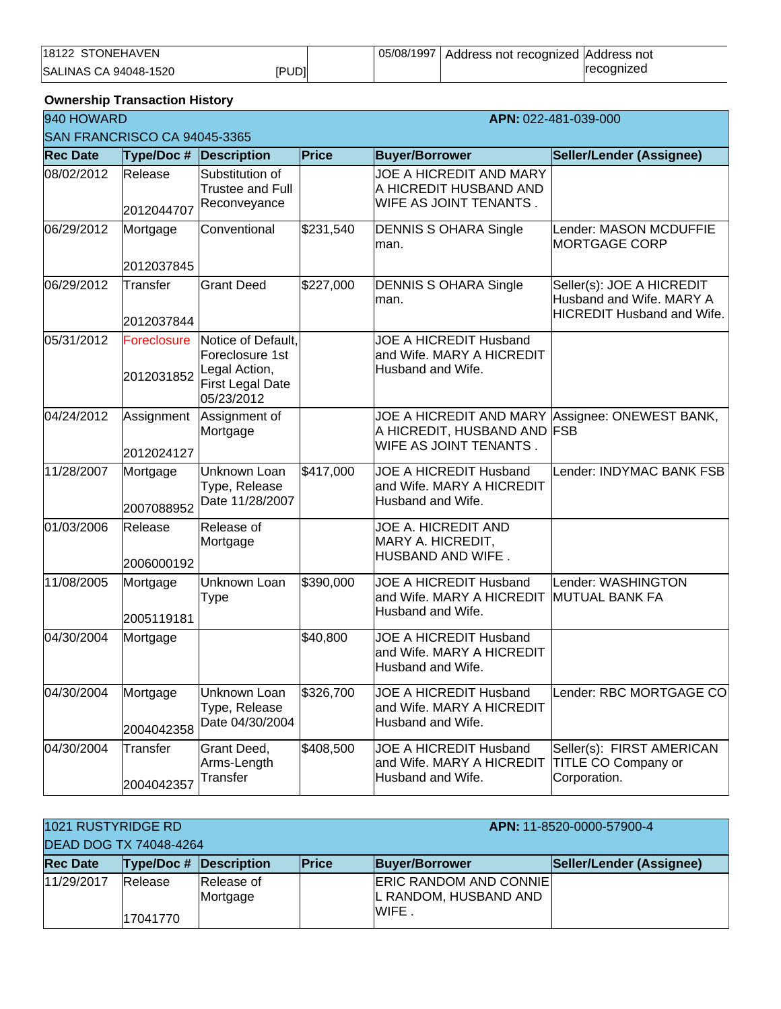| <b>STONEHAVEN</b><br>18122   |       | 05/08/1997 | Address not recognized Address not |                          |
|------------------------------|-------|------------|------------------------------------|--------------------------|
| <b>SALINAS CA 94048-1520</b> | ipudi |            |                                    | <i><b>recognized</b></i> |

**Ownership Transaction History**

| 940 HOWARD      | APN: 022-481-039-000         |                                                                                          |           |                                                                                         |                                                                                            |  |  |
|-----------------|------------------------------|------------------------------------------------------------------------------------------|-----------|-----------------------------------------------------------------------------------------|--------------------------------------------------------------------------------------------|--|--|
|                 | SAN FRANCRISCO CA 94045-3365 |                                                                                          |           |                                                                                         |                                                                                            |  |  |
| <b>Rec Date</b> | Type/Doc # Description       |                                                                                          | Price     | <b>Buyer/Borrower</b>                                                                   | Seller/Lender (Assignee)                                                                   |  |  |
| 08/02/2012      | Release<br>2012044707        | Substitution of<br><b>Trustee and Full</b><br>Reconveyance                               |           | JOE A HICREDIT AND MARY<br>A HICREDIT HUSBAND AND<br>WIFE AS JOINT TENANTS.             |                                                                                            |  |  |
| 06/29/2012      | Mortgage<br>2012037845       | Conventional                                                                             | \$231,540 | <b>DENNIS S OHARA Single</b><br>man.                                                    | Lender: MASON MCDUFFIE<br><b>MORTGAGE CORP</b>                                             |  |  |
| 06/29/2012      | Transfer<br>2012037844       | <b>Grant Deed</b>                                                                        | \$227,000 | <b>DENNIS S OHARA Single</b><br>man.                                                    | Seller(s): JOE A HICREDIT<br>Husband and Wife. MARY A<br><b>HICREDIT Husband and Wife.</b> |  |  |
| 05/31/2012      | Foreclosure<br>2012031852    | Notice of Default,<br>Foreclosure 1st<br>Legal Action,<br>First Legal Date<br>05/23/2012 |           | <b>JOE A HICREDIT Husband</b><br>and Wife. MARY A HICREDIT<br>Husband and Wife.         |                                                                                            |  |  |
| 04/24/2012      | Assignment<br>2012024127     | Assignment of<br>Mortgage                                                                |           | JOE A HICREDIT AND MARY<br>A HICREDIT, HUSBAND AND FSB<br>WIFE AS JOINT TENANTS.        | Assignee: ONEWEST BANK,                                                                    |  |  |
| 11/28/2007      | Mortgage<br>2007088952       | Unknown Loan<br>Type, Release<br>Date 11/28/2007                                         | \$417,000 | <b>JOE A HICREDIT Husband</b><br>and Wife. MARY A HICREDIT<br>Husband and Wife.         | Lender: INDYMAC BANK FSB                                                                   |  |  |
| 01/03/2006      | Release<br>2006000192        | Release of<br>Mortgage                                                                   |           | JOE A. HICREDIT AND<br>MARY A. HICREDIT,<br>HUSBAND AND WIFE.                           |                                                                                            |  |  |
| 11/08/2005      | Mortgage<br>2005119181       | Unknown Loan<br><b>Type</b>                                                              | \$390,000 | JOE A HICREDIT Husband<br>and Wife. MARY A HICREDIT MUTUAL BANK FA<br>Husband and Wife. | Lender: WASHINGTON                                                                         |  |  |
| 04/30/2004      | Mortgage                     |                                                                                          | \$40,800  | <b>JOE A HICREDIT Husband</b><br>and Wife. MARY A HICREDIT<br>Husband and Wife.         |                                                                                            |  |  |
| 04/30/2004      | Mortgage<br>2004042358       | Unknown Loan<br>Type, Release<br>Date 04/30/2004                                         | \$326,700 | JOE A HICREDIT Husband<br>and Wife. MARY A HICREDIT<br>Husband and Wife.                | Lender: RBC MORTGAGE CO                                                                    |  |  |
| 04/30/2004      | Transfer<br>2004042357       | Grant Deed,<br>Arms-Length<br>Transfer                                                   | \$408,500 | JOE A HICREDIT Husband<br>and Wife. MARY A HICREDIT<br>Husband and Wife.                | Seller(s): FIRST AMERICAN<br>TITLE CO Company or<br>Corporation.                           |  |  |

| 1021 RUSTYRIDGE RD            |                               |                        |       | APN: 11-8520-0000-57900-4                              |                          |  |
|-------------------------------|-------------------------------|------------------------|-------|--------------------------------------------------------|--------------------------|--|
| <b>DEAD DOG TX 74048-4264</b> |                               |                        |       |                                                        |                          |  |
| <b>Rec Date</b>               | <b>Type/Doc # Description</b> |                        | Price | <b>Buyer/Borrower</b>                                  | Seller/Lender (Assignee) |  |
| 11/29/2017                    | Release                       | Release of<br>Mortgage |       | <b>ERIC RANDOM AND CONNIE</b><br>L RANDOM, HUSBAND AND |                          |  |
|                               | 17041770                      |                        |       | IWIFE.                                                 |                          |  |